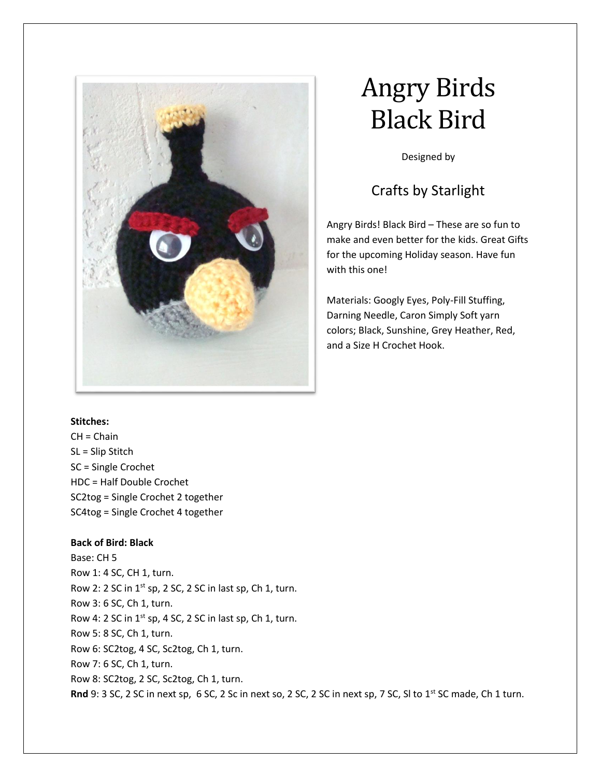

# Angry Birds Black Bird

Designed by

# Crafts by Starlight

Angry Birds! Black Bird – These are so fun to make and even better for the kids. Great Gifts for the upcoming Holiday season. Have fun with this one!

Materials: Googly Eyes, Poly-Fill Stuffing, Darning Needle, Caron Simply Soft yarn colors; Black, Sunshine, Grey Heather, Red, and a Size H Crochet Hook.

# **Stitches:**

 $CH = Chain$ SL = Slip Stitch SC = Single Crochet HDC = Half Double Crochet SC2tog = Single Crochet 2 together SC4tog = Single Crochet 4 together

# **Back of Bird: Black**

Base: CH 5 Row 1: 4 SC, CH 1, turn. Row 2: 2 SC in  $1^{st}$  sp, 2 SC, 2 SC in last sp, Ch 1, turn. Row 3: 6 SC, Ch 1, turn. Row 4: 2 SC in  $1^{st}$  sp, 4 SC, 2 SC in last sp, Ch 1, turn. Row 5: 8 SC, Ch 1, turn. Row 6: SC2tog, 4 SC, Sc2tog, Ch 1, turn. Row 7: 6 SC, Ch 1, turn. Row 8: SC2tog, 2 SC, Sc2tog, Ch 1, turn. **Rnd** 9: 3 SC, 2 SC in next sp, 6 SC, 2 Sc in next so, 2 SC, 2 SC in next sp, 7 SC, Sl to 1st SC made, Ch 1 turn.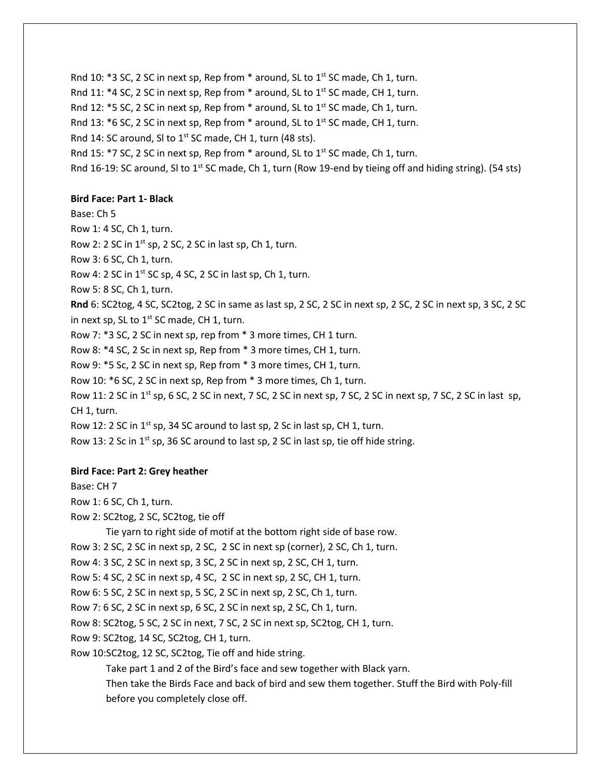Rnd 10:  $*3$  SC, 2 SC in next sp, Rep from  $*$  around, SL to 1st SC made, Ch 1, turn. Rnd 11:  $*4$  SC, 2 SC in next sp, Rep from  $*$  around, SL to 1st SC made, CH 1, turn. Rnd 12: \*5 SC, 2 SC in next sp, Rep from \* around, SL to 1st SC made, Ch 1, turn. Rnd 13: \*6 SC, 2 SC in next sp, Rep from \* around, SL to 1<sup>st</sup> SC made, CH 1, turn. Rnd 14: SC around, SI to  $1^{st}$  SC made, CH 1, turn (48 sts). Rnd 15:  $*$ 7 SC, 2 SC in next sp, Rep from  $*$  around, SL to 1<sup>st</sup> SC made, Ch 1, turn. Rnd 16-19: SC around, SI to 1<sup>st</sup> SC made, Ch 1, turn (Row 19-end by tieing off and hiding string). (54 sts)

#### **Bird Face: Part 1- Black**

Base: Ch 5 Row 1: 4 SC, Ch 1, turn. Row 2: 2 SC in  $1^{st}$  sp, 2 SC, 2 SC in last sp, Ch 1, turn. Row 3: 6 SC, Ch 1, turn. Row 4: 2 SC in 1<sup>st</sup> SC sp, 4 SC, 2 SC in last sp, Ch 1, turn. Row 5: 8 SC, Ch 1, turn. **Rnd** 6: SC2tog, 4 SC, SC2tog, 2 SC in same as last sp, 2 SC, 2 SC in next sp, 2 SC, 2 SC in next sp, 3 SC, 2 SC in next sp, SL to 1<sup>st</sup> SC made, CH 1, turn. Row 7: \*3 SC, 2 SC in next sp, rep from \* 3 more times, CH 1 turn. Row 8: \*4 SC, 2 Sc in next sp, Rep from \* 3 more times, CH 1, turn. Row 9: \*5 Sc, 2 SC in next sp, Rep from \* 3 more times, CH 1, turn. Row 10: \*6 SC, 2 SC in next sp, Rep from \* 3 more times, Ch 1, turn. Row 11: 2 SC in 1<sup>st</sup> sp, 6 SC, 2 SC in next, 7 SC, 2 SC in next sp, 7 SC, 2 SC in next sp, 7 SC, 2 SC in last sp, CH 1, turn. Row 12: 2 SC in 1<sup>st</sup> sp, 34 SC around to last sp, 2 Sc in last sp, CH 1, turn. Row 13: 2 Sc in 1st sp, 36 SC around to last sp, 2 SC in last sp, tie off hide string.

#### **Bird Face: Part 2: Grey heather**

Base: CH 7

Row 1: 6 SC, Ch 1, turn.

Row 2: SC2tog, 2 SC, SC2tog, tie off

Tie yarn to right side of motif at the bottom right side of base row.

Row 3: 2 SC, 2 SC in next sp, 2 SC, 2 SC in next sp (corner), 2 SC, Ch 1, turn.

Row 4: 3 SC, 2 SC in next sp, 3 SC, 2 SC in next sp, 2 SC, CH 1, turn.

Row 5: 4 SC, 2 SC in next sp, 4 SC, 2 SC in next sp, 2 SC, CH 1, turn.

Row 6: 5 SC, 2 SC in next sp, 5 SC, 2 SC in next sp, 2 SC, Ch 1, turn.

Row 7: 6 SC, 2 SC in next sp, 6 SC, 2 SC in next sp, 2 SC, Ch 1, turn.

Row 8: SC2tog, 5 SC, 2 SC in next, 7 SC, 2 SC in next sp, SC2tog, CH 1, turn.

Row 9: SC2tog, 14 SC, SC2tog, CH 1, turn.

Row 10:SC2tog, 12 SC, SC2tog, Tie off and hide string.

Take part 1 and 2 of the Bird's face and sew together with Black yarn.

Then take the Birds Face and back of bird and sew them together. Stuff the Bird with Poly-fill before you completely close off.